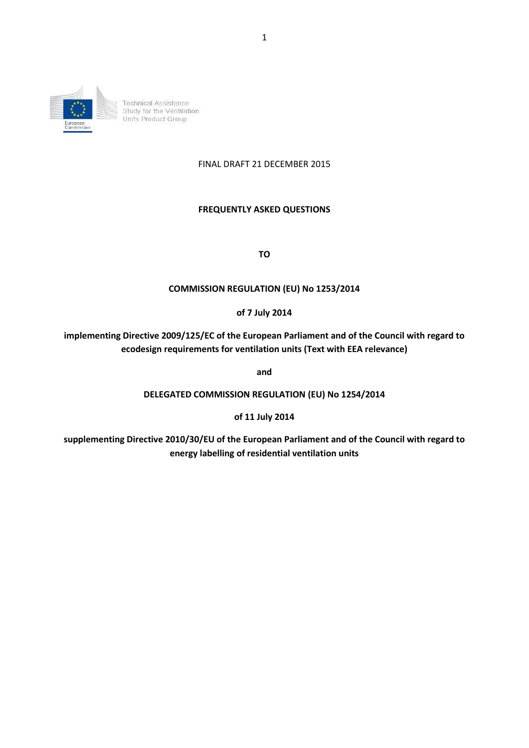

### FINAL DRAFT 21 DECEMBER 2015

### **FREQUENTLY ASKED QUESTIONS**

**TO**

### **COMMISSION REGULATION (EU) No 1253/2014**

#### **of 7 July 2014**

**implementing Directive 2009/125/EC of the European Parliament and of the Council with regard to ecodesign requirements for ventilation units (Text with EEA relevance)**

**and**

**DELEGATED COMMISSION REGULATION (EU) No 1254/2014**

**of 11 July 2014** 

**supplementing Directive 2010/30/EU of the European Parliament and of the Council with regard to energy labelling of residential ventilation units**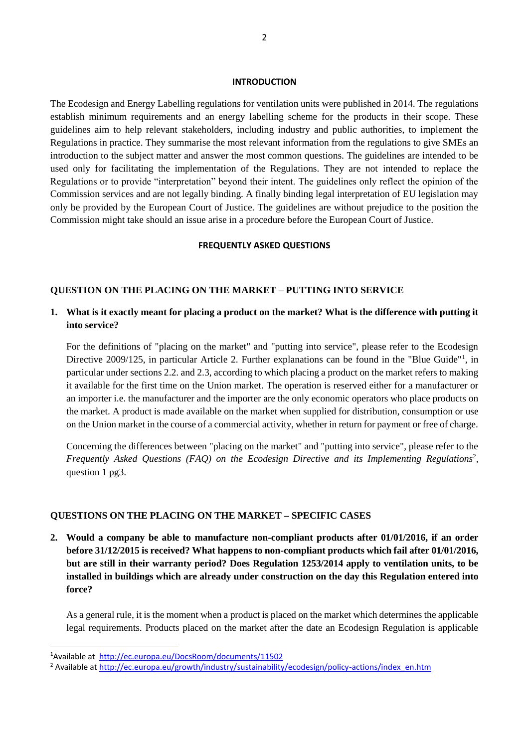#### **INTRODUCTION**

The Ecodesign and Energy Labelling regulations for ventilation units were published in 2014. The regulations establish minimum requirements and an energy labelling scheme for the products in their scope. These guidelines aim to help relevant stakeholders, including industry and public authorities, to implement the Regulations in practice. They summarise the most relevant information from the regulations to give SMEs an introduction to the subject matter and answer the most common questions. The guidelines are intended to be used only for facilitating the implementation of the Regulations. They are not intended to replace the Regulations or to provide "interpretation" beyond their intent. The guidelines only reflect the opinion of the Commission services and are not legally binding. A finally binding legal interpretation of EU legislation may only be provided by the European Court of Justice. The guidelines are without prejudice to the position the Commission might take should an issue arise in a procedure before the European Court of Justice.

#### **FREQUENTLY ASKED QUESTIONS**

#### **QUESTION ON THE PLACING ON THE MARKET – PUTTING INTO SERVICE**

## **1. What is it exactly meant for placing a product on the market? What is the difference with putting it into service?**

For the definitions of "placing on the market" and "putting into service", please refer to the Ecodesign Directive 2009/125, in particular Article 2. Further explanations can be found in the "Blue Guide"<sup>1</sup>, in particular under sections 2.2. and 2.3, according to which placing a product on the market refers to making it available for the first time on the Union market. The operation is reserved either for a manufacturer or an importer i.e. the manufacturer and the importer are the only economic operators who place products on the market. A product is made available on the market when supplied for distribution, consumption or use on the Union market in the course of a commercial activity, whether in return for payment or free of charge.

Concerning the differences between "placing on the market" and "putting into service", please refer to the Frequently Asked Questions (FAQ) on the Ecodesign Directive and its Implementing Regulations<sup>2</sup>, question 1 pg3.

#### **QUESTIONS ON THE PLACING ON THE MARKET – SPECIFIC CASES**

**2. Would a company be able to manufacture non-compliant products after 01/01/2016, if an order before 31/12/2015 is received? What happens to non-compliant products which fail after 01/01/2016, but are still in their warranty period? Does Regulation 1253/2014 apply to ventilation units, to be installed in buildings which are already under construction on the day this Regulation entered into force?**

As a general rule, it is the moment when a product is placed on the market which determines the applicable legal requirements. Products placed on the market after the date an Ecodesign Regulation is applicable

 $\overline{a}$ 

<sup>1</sup>Available at <http://ec.europa.eu/DocsRoom/documents/11502>

<sup>&</sup>lt;sup>2</sup> Available at [http://ec.europa.eu/growth/industry/sustainability/ecodesign/policy-actions/index\\_en.htm](http://ec.europa.eu/growth/industry/sustainability/ecodesign/policy-actions/index_en.htm)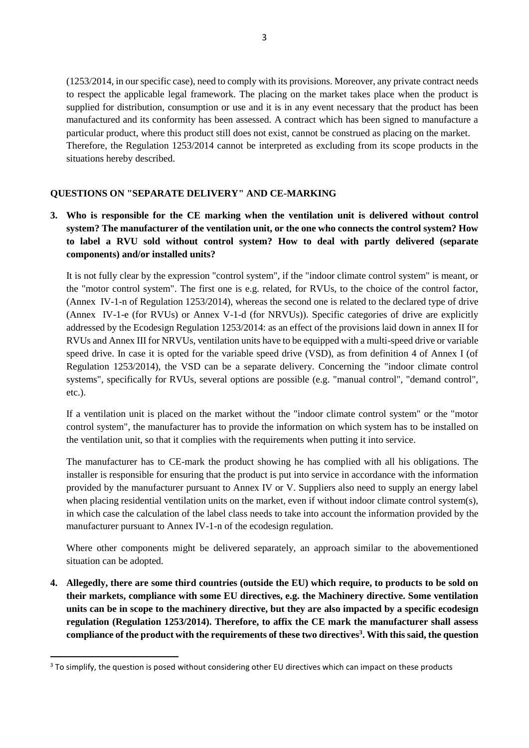(1253/2014, in our specific case), need to comply with its provisions. Moreover, any private contract needs to respect the applicable legal framework. The placing on the market takes place when the product is supplied for distribution, consumption or use and it is in any event necessary that the product has been manufactured and its conformity has been assessed. A contract which has been signed to manufacture a particular product, where this product still does not exist, cannot be construed as placing on the market. Therefore, the Regulation 1253/2014 cannot be interpreted as excluding from its scope products in the situations hereby described.

## **QUESTIONS ON "SEPARATE DELIVERY" AND CE-MARKING**

**3. Who is responsible for the CE marking when the ventilation unit is delivered without control system? The manufacturer of the ventilation unit, or the one who connects the control system? How to label a RVU sold without control system? How to deal with partly delivered (separate components) and/or installed units?**

It is not fully clear by the expression "control system", if the "indoor climate control system" is meant, or the "motor control system". The first one is e.g. related, for RVUs, to the choice of the control factor, (Annex IV-1-n of Regulation 1253/2014), whereas the second one is related to the declared type of drive (Annex IV-1-e (for RVUs) or Annex V-1-d (for NRVUs)). Specific categories of drive are explicitly addressed by the Ecodesign Regulation 1253/2014: as an effect of the provisions laid down in annex II for RVUs and Annex III for NRVUs, ventilation units have to be equipped with a multi-speed drive or variable speed drive. In case it is opted for the variable speed drive (VSD), as from definition 4 of Annex I (of Regulation 1253/2014), the VSD can be a separate delivery. Concerning the "indoor climate control systems", specifically for RVUs, several options are possible (e.g. "manual control", "demand control", etc.).

If a ventilation unit is placed on the market without the "indoor climate control system" or the "motor control system", the manufacturer has to provide the information on which system has to be installed on the ventilation unit, so that it complies with the requirements when putting it into service.

The manufacturer has to CE-mark the product showing he has complied with all his obligations. The installer is responsible for ensuring that the product is put into service in accordance with the information provided by the manufacturer pursuant to Annex IV or V. Suppliers also need to supply an energy label when placing residential ventilation units on the market, even if without indoor climate control system(s), in which case the calculation of the label class needs to take into account the information provided by the manufacturer pursuant to Annex IV-1-n of the ecodesign regulation.

Where other components might be delivered separately, an approach similar to the abovementioned situation can be adopted.

**4. Allegedly, there are some third countries (outside the EU) which require, to products to be sold on their markets, compliance with some EU directives, e.g. the Machinery directive. Some ventilation units can be in scope to the machinery directive, but they are also impacted by a specific ecodesign regulation (Regulation 1253/2014). Therefore, to affix the CE mark the manufacturer shall assess compliance of the product with the requirements of these two directives<sup>3</sup> . With this said, the question** 

**.** 

<sup>&</sup>lt;sup>3</sup> To simplify, the question is posed without considering other EU directives which can impact on these products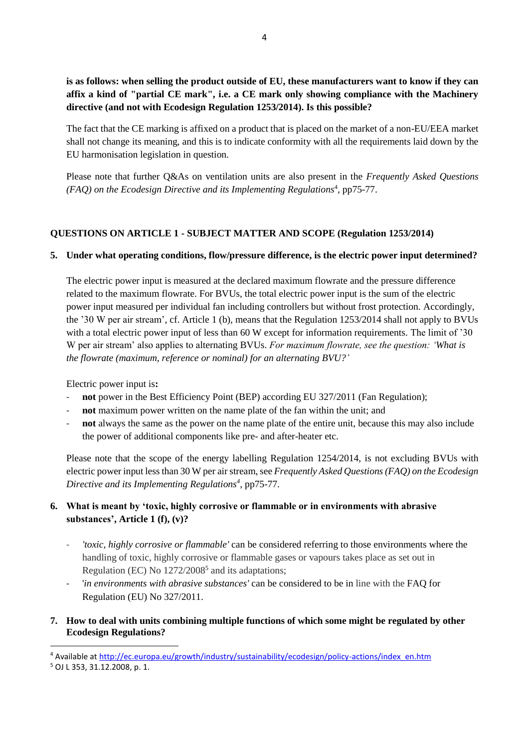**is as follows: when selling the product outside of EU, these manufacturers want to know if they can affix a kind of "partial CE mark", i.e. a CE mark only showing compliance with the Machinery directive (and not with Ecodesign Regulation 1253/2014). Is this possible?**

The fact that the CE marking is affixed on a product that is placed on the market of a non-EU/EEA market shall not change its meaning, and this is to indicate conformity with all the requirements laid down by the EU harmonisation legislation in question.

Please note that further Q&As on ventilation units are also present in the *Frequently Asked Questions*  (FAQ) on the Ecodesign Directive and its Implementing Regulations<sup>4</sup>, pp75-77.

# **QUESTIONS ON ARTICLE 1 - SUBJECT MATTER AND SCOPE (Regulation 1253/2014)**

## **5. Under what operating conditions, flow/pressure difference, is the electric power input determined?**

The electric power input is measured at the declared maximum flowrate and the pressure difference related to the maximum flowrate. For BVUs, the total electric power input is the sum of the electric power input measured per individual fan including controllers but without frost protection. Accordingly, the '30 W per air stream', cf. Article 1 (b), means that the Regulation 1253/2014 shall not apply to BVUs with a total electric power input of less than 60 W except for information requirements. The limit of '30 W per air stream' also applies to alternating BVUs. *For maximum flowrate, see the question: 'What is the flowrate (maximum, reference or nominal) for an alternating BVU?'*

Electric power input is**:**

- not power in the Best Efficiency Point (BEP) according EU 327/2011 (Fan Regulation);
- **not** maximum power written on the name plate of the fan within the unit; and
- **not** always the same as the power on the name plate of the entire unit, because this may also include the power of additional components like pre- and after-heater etc.

Please note that the scope of the energy labelling Regulation 1254/2014, is not excluding BVUs with electric power input less than 30 W per air stream, see *Frequently Asked Questions (FAQ) on the Ecodesign Directive and its Implementing Regulations<sup>4</sup> ,* pp75-77.

# **6. What is meant by 'toxic, highly corrosive or flammable or in environments with abrasive substances', Article 1 (f), (v)?**

- *'toxic, highly corrosive or flammable'* can be considered referring to those environments where the handling of toxic, highly corrosive or flammable gases or vapours takes place as set out in Regulation (EC) No 1272/2008<sup>5</sup> and its adaptations;
- '*in environments with abrasive substances'* can be considered to be in line with the FAQ for Regulation (EU) No 327/2011.
- **7. How to deal with units combining multiple functions of which some might be regulated by other Ecodesign Regulations?**

 $\overline{a}$ 

<sup>4</sup> Available at [http://ec.europa.eu/growth/industry/sustainability/ecodesign/policy-actions/index\\_en.htm](http://ec.europa.eu/growth/industry/sustainability/ecodesign/policy-actions/index_en.htm)

<sup>5</sup> OJ L 353, 31.12.2008, p. 1.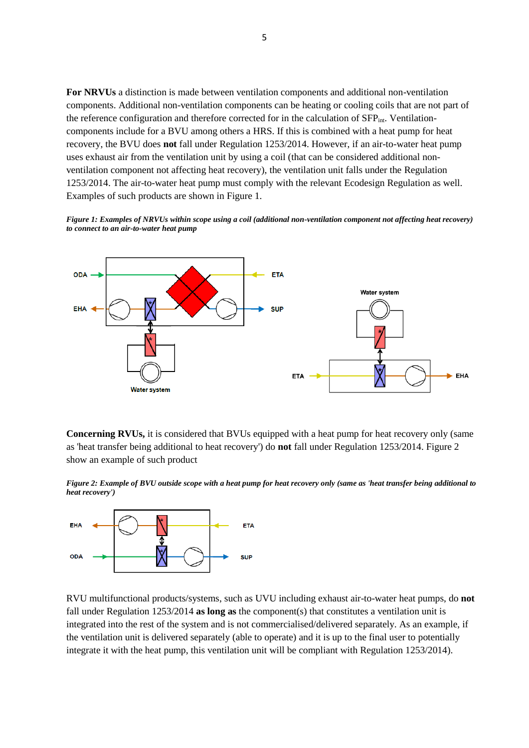**For NRVUs** a distinction is made between ventilation components and additional non-ventilation components. Additional non-ventilation components can be heating or cooling coils that are not part of the reference configuration and therefore corrected for in the calculation of SFP<sub>int</sub>. Ventilationcomponents include for a BVU among others a HRS. If this is combined with a heat pump for heat recovery, the BVU does **not** fall under Regulation 1253/2014. However, if an air-to-water heat pump uses exhaust air from the ventilation unit by using a coil (that can be considered additional nonventilation component not affecting heat recovery), the ventilation unit falls under the Regulation 1253/2014. The air-to-water heat pump must comply with the relevant Ecodesign Regulation as well. Examples of such products are shown in Figure 1.

*Figure 1: Examples of NRVUs within scope using a coil (additional non-ventilation component not affecting heat recovery) to connect to an air-to-water heat pump*



**Concerning RVUs, it is considered that BVUs equipped with a heat pump for heat recovery only (same** as 'heat transfer being additional to heat recovery') do **not** fall under Regulation 1253/2014. Figure 2 show an example of such product

*Figure 2: Example of BVU outside scope with a heat pump for heat recovery only (same as 'heat transfer being additional to heat recovery')*



RVU multifunctional products/systems, such as UVU including exhaust air-to-water heat pumps, do **not**  fall under Regulation 1253/2014 **as long as** the component(s) that constitutes a ventilation unit is integrated into the rest of the system and is not commercialised/delivered separately. As an example, if the ventilation unit is delivered separately (able to operate) and it is up to the final user to potentially integrate it with the heat pump, this ventilation unit will be compliant with Regulation 1253/2014).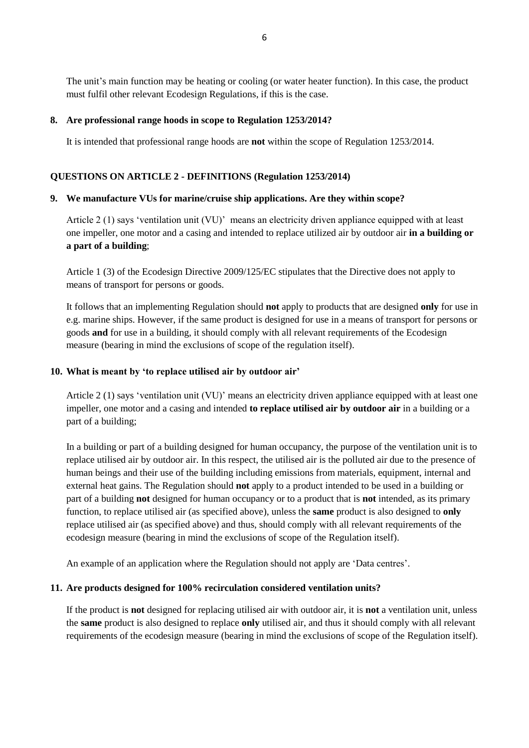The unit's main function may be heating or cooling (or water heater function). In this case, the product must fulfil other relevant Ecodesign Regulations, if this is the case.

## **8. Are professional range hoods in scope to Regulation 1253/2014?**

It is intended that professional range hoods are **not** within the scope of Regulation 1253/2014.

# **QUESTIONS ON ARTICLE 2 - DEFINITIONS (Regulation 1253/2014)**

## **9. We manufacture VUs for marine/cruise ship applications. Are they within scope?**

Article 2 (1) says 'ventilation unit (VU)' means an electricity driven appliance equipped with at least one impeller, one motor and a casing and intended to replace utilized air by outdoor air **in a building or a part of a building**;

Article 1 (3) of the Ecodesign Directive 2009/125/EC stipulates that the Directive does not apply to means of transport for persons or goods.

It follows that an implementing Regulation should **not** apply to products that are designed **only** for use in e.g. marine ships. However, if the same product is designed for use in a means of transport for persons or goods **and** for use in a building, it should comply with all relevant requirements of the Ecodesign measure (bearing in mind the exclusions of scope of the regulation itself).

## **10. What is meant by 'to replace utilised air by outdoor air'**

Article 2 (1) says 'ventilation unit (VU)' means an electricity driven appliance equipped with at least one impeller, one motor and a casing and intended **to replace utilised air by outdoor air** in a building or a part of a building;

In a building or part of a building designed for human occupancy, the purpose of the ventilation unit is to replace utilised air by outdoor air. In this respect, the utilised air is the polluted air due to the presence of human beings and their use of the building including emissions from materials, equipment, internal and external heat gains. The Regulation should **not** apply to a product intended to be used in a building or part of a building **not** designed for human occupancy or to a product that is **not** intended, as its primary function, to replace utilised air (as specified above), unless the **same** product is also designed to **only** replace utilised air (as specified above) and thus, should comply with all relevant requirements of the ecodesign measure (bearing in mind the exclusions of scope of the Regulation itself).

An example of an application where the Regulation should not apply are 'Data centres'.

### **11. Are products designed for 100% recirculation considered ventilation units?**

If the product is **not** designed for replacing utilised air with outdoor air, it is **not** a ventilation unit, unless the **same** product is also designed to replace **only** utilised air, and thus it should comply with all relevant requirements of the ecodesign measure (bearing in mind the exclusions of scope of the Regulation itself).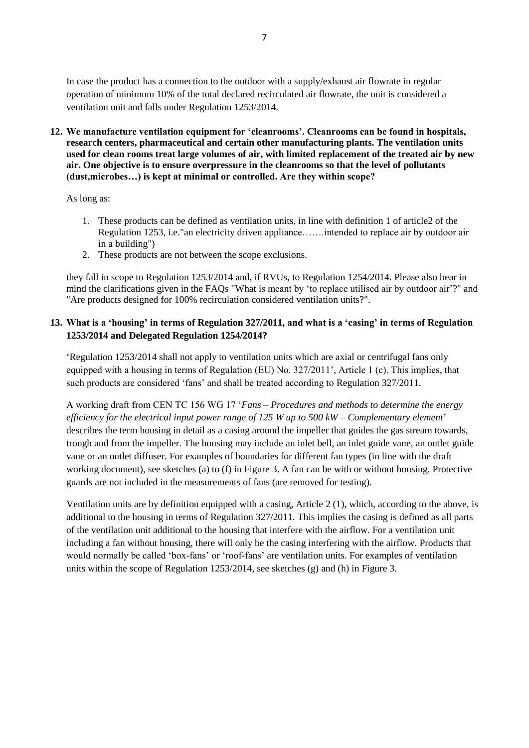In case the product has a connection to the outdoor with a supply/exhaust air flowrate in regular operation of minimum 10% of the total declared recirculated air flowrate, the unit is considered a ventilation unit and falls under Regulation 1253/2014.

**12. We manufacture ventilation equipment for 'cleanrooms'. Cleanrooms can be found in hospitals, research centers, pharmaceutical and certain other manufacturing plants. The ventilation units used for clean rooms treat large volumes of air, with limited replacement of the treated air by new air. One objective is to ensure overpressure in the cleanrooms so that the level of pollutants (dust,microbes…) is kept at minimal or controlled. Are they within scope?**

As long as:

- 1. These products can be defined as ventilation units, in line with definition 1 of article2 of the Regulation 1253, i.e."an electricity driven appliance…….intended to replace air by outdoor air in a building")
- 2. These products are not between the scope exclusions.

they fall in scope to Regulation 1253/2014 and, if RVUs, to Regulation 1254/2014. Please also bear in mind the clarifications given in the FAQs "What is meant by 'to replace utilised air by outdoor air'?" and "Are products designed for 100% recirculation considered ventilation units?".

# **13. What is a 'housing' in terms of Regulation 327/2011, and what is a 'casing' in terms of Regulation 1253/2014 and Delegated Regulation 1254/2014?**

'Regulation 1253/2014 shall not apply to ventilation units which are axial or centrifugal fans only equipped with a housing in terms of Regulation (EU) No. 327/2011', Article 1 (c). This implies, that such products are considered 'fans' and shall be treated according to Regulation 327/2011.

A working draft from CEN TC 156 WG 17 '*Fans – Procedures and methods to determine the energy efficiency for the electrical input power range of 125 W up to 500 kW – Complementary element*' describes the term housing in detail as a casing around the impeller that guides the gas stream towards, trough and from the impeller. The housing may include an inlet bell, an inlet guide vane, an outlet guide vane or an outlet diffuser. For examples of boundaries for different fan types (in line with the draft working document), see sketches (a) to (f) in Figure 3. A fan can be with or without housing. Protective guards are not included in the measurements of fans (are removed for testing).

Ventilation units are by definition equipped with a casing, Article 2 (1), which, according to the above, is additional to the housing in terms of Regulation 327/2011. This implies the casing is defined as all parts of the ventilation unit additional to the housing that interfere with the airflow. For a ventilation unit including a fan without housing, there will only be the casing interfering with the airflow. Products that would normally be called 'box-fans' or 'roof-fans' are ventilation units. For examples of ventilation units within the scope of Regulation 1253/2014, see sketches (g) and (h) in Figure 3.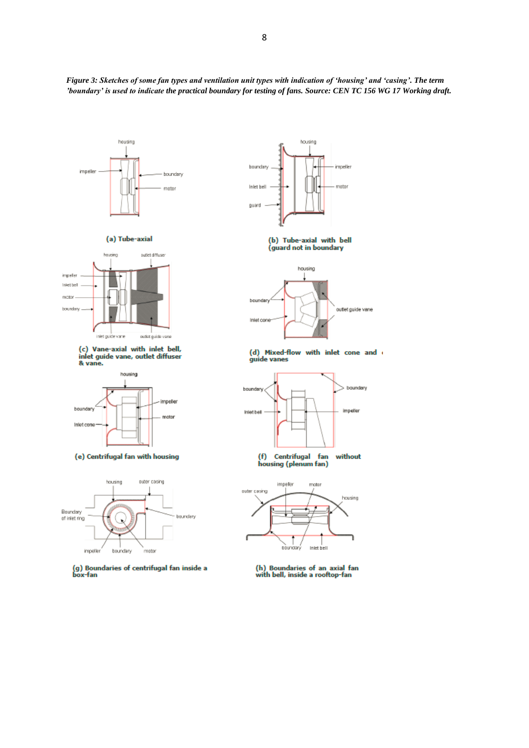*Figure 3: Sketches of some fan types and ventilation unit types with indication of 'housing' and 'casing'. The term 'boundary' is used to indicate the practical boundary for testing of fans. Source: CEN TC 156 WG 17 Working draft.*





(c) Vane-axial with inlet bell, inlet guide vane, outlet diffuser & vane.



(e) Centrifugal fan with housing



(g) Boundaries of centrifugal fan inside a<br>box-fan



(guard not in boundary



(d) Mixed-flow with inlet cone and guide vanes



(f) Centrifugal fan<br>housing (plenum fan) without



(h) Boundaries of an axial fan<br>with bell, inside a rooftop-fan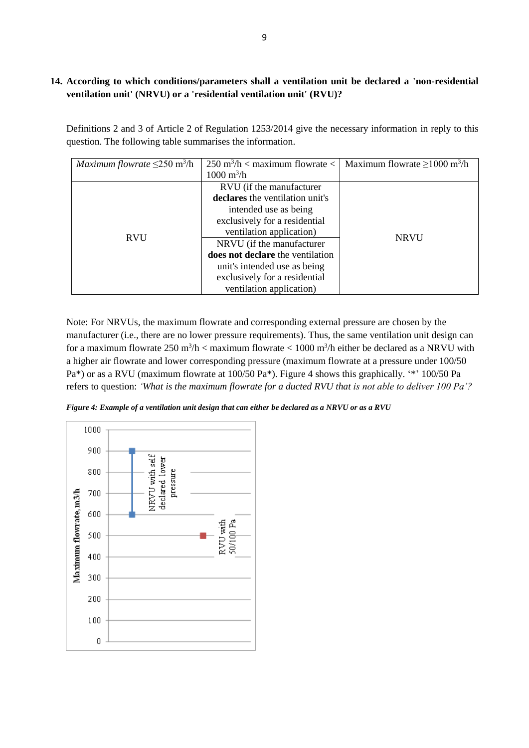# **14. According to which conditions/parameters shall a ventilation unit be declared a 'non-residential ventilation unit' (NRVU) or a 'residential ventilation unit' (RVU)?**

Definitions 2 and 3 of Article 2 of Regulation 1253/2014 give the necessary information in reply to this question. The following table summarises the information.

| <i>Maximum flowrate</i> $\leq$ 250 m <sup>3</sup> /h | $250 \text{ m}^3/\text{h} < \text{maximum flow rate} < 1$ | Maximum flowrate $\geq 1000$ m <sup>3</sup> /h |
|------------------------------------------------------|-----------------------------------------------------------|------------------------------------------------|
|                                                      | $1000 \text{ m}^3/\text{h}$                               |                                                |
| <b>RVU</b>                                           | RVU (if the manufacturer                                  | <b>NRVU</b>                                    |
|                                                      | declares the ventilation unit's                           |                                                |
|                                                      | intended use as being                                     |                                                |
|                                                      | exclusively for a residential                             |                                                |
|                                                      | ventilation application)                                  |                                                |
|                                                      | NRVU (if the manufacturer                                 |                                                |
|                                                      | does not declare the ventilation                          |                                                |
|                                                      | unit's intended use as being                              |                                                |
|                                                      | exclusively for a residential                             |                                                |
|                                                      | ventilation application)                                  |                                                |

Note: For NRVUs, the maximum flowrate and corresponding external pressure are chosen by the manufacturer (i.e., there are no lower pressure requirements). Thus, the same ventilation unit design can for a maximum flowrate  $250 \text{ m}^3/\text{h} < \text{maximum}$  flowrate  $< 1000 \text{ m}^3/\text{h}$  either be declared as a NRVU with a higher air flowrate and lower corresponding pressure (maximum flowrate at a pressure under 100/50 Pa\*) or as a RVU (maximum flowrate at 100/50 Pa\*). Figure 4 shows this graphically. '\*' 100/50 Pa refers to question: *'What is the maximum flowrate for a ducted RVU that is not able to deliver 100 Pa'?*

*Figure 4: Example of a ventilation unit design that can either be declared as a NRVU or as a RVU*

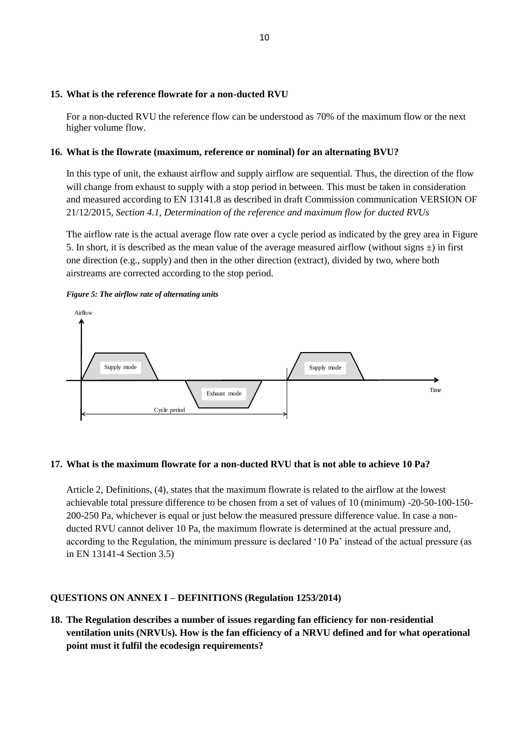#### **15. What is the reference flowrate for a non-ducted RVU**

For a non-ducted RVU the reference flow can be understood as 70% of the maximum flow or the next higher volume flow.

### **16. What is the flowrate (maximum, reference or nominal) for an alternating BVU?**

In this type of unit, the exhaust airflow and supply airflow are sequential. Thus, the direction of the flow will change from exhaust to supply with a stop period in between. This must be taken in consideration and measured according to EN 13141.8 as described in draft Commission communication VERSION OF 21/12/2015*, Section 4.1, Determination of the reference and maximum flow for ducted RVUs*

The airflow rate is the actual average flow rate over a cycle period as indicated by the grey area in Figure 5. In short, it is described as the mean value of the average measured airflow (without signs  $\pm$ ) in first one direction (e.g., supply) and then in the other direction (extract), divided by two, where both airstreams are corrected according to the stop period.





### **17. What is the maximum flowrate for a non-ducted RVU that is not able to achieve 10 Pa?**

Article 2, Definitions, (4), states that the maximum flowrate is related to the airflow at the lowest achievable total pressure difference to be chosen from a set of values of 10 (minimum) -20-50-100-150- 200-250 Pa, whichever is equal or just below the measured pressure difference value. In case a nonducted RVU cannot deliver 10 Pa, the maximum flowrate is determined at the actual pressure and, according to the Regulation, the minimum pressure is declared '10 Pa' instead of the actual pressure (as in EN 13141-4 Section 3.5)

# **QUESTIONS ON ANNEX I – DEFINITIONS (Regulation 1253/2014)**

**18. The Regulation describes a number of issues regarding fan efficiency for non-residential ventilation units (NRVUs). How is the fan efficiency of a NRVU defined and for what operational point must it fulfil the ecodesign requirements?**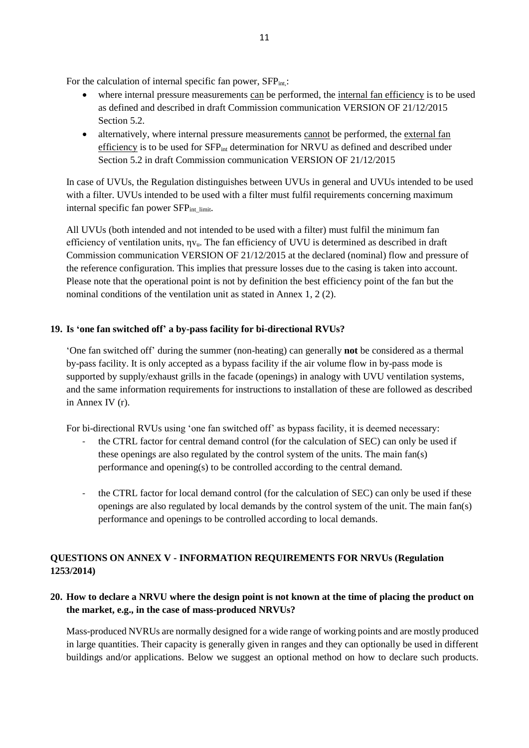For the calculation of internal specific fan power, SFP<sub>int,</sub>:

- where internal pressure measurements can be performed, the internal fan efficiency is to be used as defined and described in draft Commission communication VERSION OF 21/12/2015 Section 5.2.
- alternatively, where internal pressure measurements cannot be performed, the external fan efficiency is to be used for SFPint determination for NRVU as defined and described under Section 5.2 in draft Commission communication VERSION OF 21/12/2015

In case of UVUs, the Regulation distinguishes between UVUs in general and UVUs intended to be used with a filter. UVUs intended to be used with a filter must fulfil requirements concerning maximum internal specific fan power SFP<sub>int limit</sub>.

All UVUs (both intended and not intended to be used with a filter) must fulfil the minimum fan efficiency of ventilation units,  $\eta v_u$ . The fan efficiency of UVU is determined as described in draft Commission communication VERSION OF 21/12/2015 at the declared (nominal) flow and pressure of the reference configuration. This implies that pressure losses due to the casing is taken into account. Please note that the operational point is not by definition the best efficiency point of the fan but the nominal conditions of the ventilation unit as stated in Annex 1, 2 (2).

# **19. Is 'one fan switched off' a by-pass facility for bi-directional RVUs?**

'One fan switched off' during the summer (non-heating) can generally **not** be considered as a thermal by-pass facility. It is only accepted as a bypass facility if the air volume flow in by-pass mode is supported by supply/exhaust grills in the facade (openings) in analogy with UVU ventilation systems, and the same information requirements for instructions to installation of these are followed as described in Annex IV (r).

For bi-directional RVUs using 'one fan switched off' as bypass facility, it is deemed necessary:

- the CTRL factor for central demand control (for the calculation of SEC) can only be used if these openings are also regulated by the control system of the units. The main fan(s) performance and opening(s) to be controlled according to the central demand.
- the CTRL factor for local demand control (for the calculation of SEC) can only be used if these openings are also regulated by local demands by the control system of the unit. The main fan(s) performance and openings to be controlled according to local demands.

# **QUESTIONS ON ANNEX V - INFORMATION REQUIREMENTS FOR NRVUs (Regulation 1253/2014)**

# **20. How to declare a NRVU where the design point is not known at the time of placing the product on the market, e.g., in the case of mass-produced NRVUs?**

Mass-produced NVRUs are normally designed for a wide range of working points and are mostly produced in large quantities. Their capacity is generally given in ranges and they can optionally be used in different buildings and/or applications. Below we suggest an optional method on how to declare such products.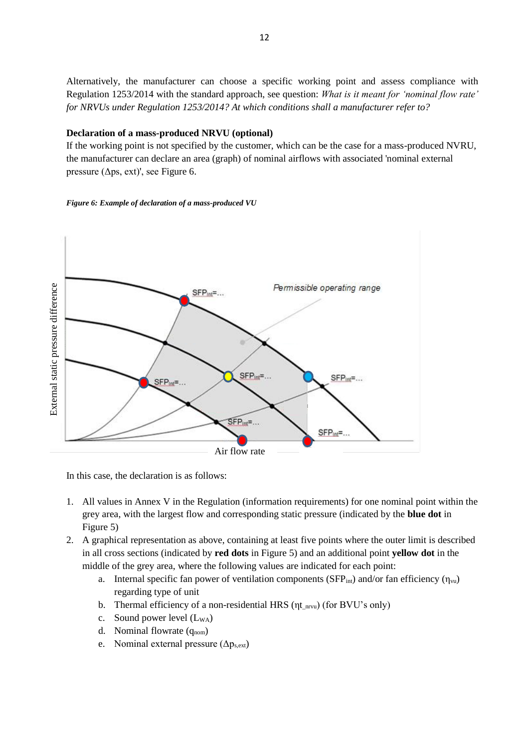Alternatively, the manufacturer can choose a specific working point and assess compliance with Regulation 1253/2014 with the standard approach, see question: *What is it meant for 'nominal flow rate' for NRVUs under Regulation 1253/2014? At which conditions shall a manufacturer refer to?*

### **Declaration of a mass-produced NRVU (optional)**

If the working point is not specified by the customer, which can be the case for a mass-produced NVRU, the manufacturer can declare an area (graph) of nominal airflows with associated 'nominal external pressure ( $\Delta$ ps, ext)', see Figure 6.

#### *Figure 6: Example of declaration of a mass-produced VU*



In this case, the declaration is as follows:

- 1. All values in Annex V in the Regulation (information requirements) for one nominal point within the grey area, with the largest flow and corresponding static pressure (indicated by the **blue dot** in Figure 5)
- 2. A graphical representation as above, containing at least five points where the outer limit is described in all cross sections (indicated by **red dots** in Figure 5) and an additional point **yellow dot** in the middle of the grey area, where the following values are indicated for each point:
	- a. Internal specific fan power of ventilation components (SFP<sub>int</sub>) and/or fan efficiency ( $\eta_{vu}$ ) regarding type of unit
	- b. Thermal efficiency of a non-residential HRS ( $\eta t_{\text{nrvu}}$ ) (for BVU's only)
	- c. Sound power level  $(L_{WA})$
	- d. Nominal flowrate  $(q_{nom})$
	- e. Nominal external pressure  $(\Delta p_{s,ext})$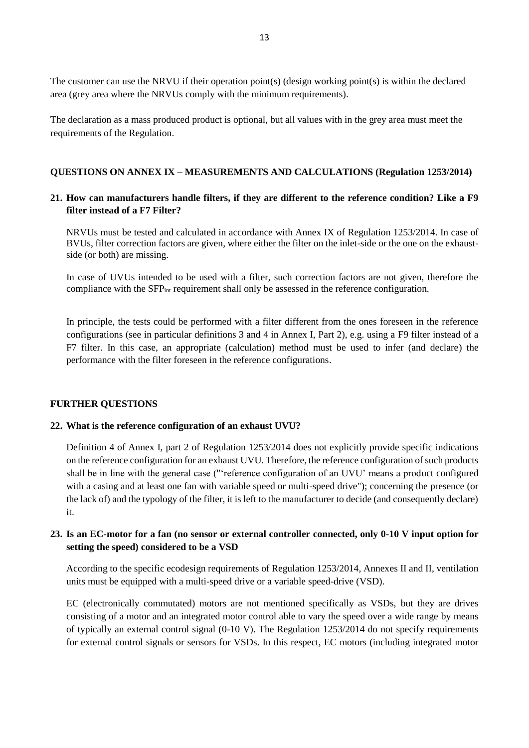The customer can use the NRVU if their operation point(s) (design working point(s) is within the declared area (grey area where the NRVUs comply with the minimum requirements).

The declaration as a mass produced product is optional, but all values with in the grey area must meet the requirements of the Regulation.

### **QUESTIONS ON ANNEX IX – MEASUREMENTS AND CALCULATIONS (Regulation 1253/2014)**

### **21. How can manufacturers handle filters, if they are different to the reference condition? Like a F9 filter instead of a F7 Filter?**

NRVUs must be tested and calculated in accordance with Annex IX of Regulation 1253/2014. In case of BVUs, filter correction factors are given, where either the filter on the inlet-side or the one on the exhaustside (or both) are missing.

In case of UVUs intended to be used with a filter, such correction factors are not given, therefore the compliance with the SFP<sub>int</sub> requirement shall only be assessed in the reference configuration.

In principle, the tests could be performed with a filter different from the ones foreseen in the reference configurations (see in particular definitions 3 and 4 in Annex I, Part 2), e.g. using a F9 filter instead of a F7 filter. In this case, an appropriate (calculation) method must be used to infer (and declare) the performance with the filter foreseen in the reference configurations.

#### **FURTHER QUESTIONS**

#### **22. What is the reference configuration of an exhaust UVU?**

Definition 4 of Annex I, part 2 of Regulation 1253/2014 does not explicitly provide specific indications on the reference configuration for an exhaust UVU. Therefore, the reference configuration of such products shall be in line with the general case ("'reference configuration of an UVU' means a product configured with a casing and at least one fan with variable speed or multi-speed drive"); concerning the presence (or the lack of) and the typology of the filter, it is left to the manufacturer to decide (and consequently declare) it.

## **23. Is an EC-motor for a fan (no sensor or external controller connected, only 0-10 V input option for setting the speed) considered to be a VSD**

According to the specific ecodesign requirements of Regulation 1253/2014, Annexes II and II, ventilation units must be equipped with a multi-speed drive or a variable speed-drive (VSD).

EC (electronically commutated) motors are not mentioned specifically as VSDs, but they are drives consisting of a motor and an integrated motor control able to vary the speed over a wide range by means of typically an external control signal (0-10 V). The Regulation 1253/2014 do not specify requirements for external control signals or sensors for VSDs. In this respect, EC motors (including integrated motor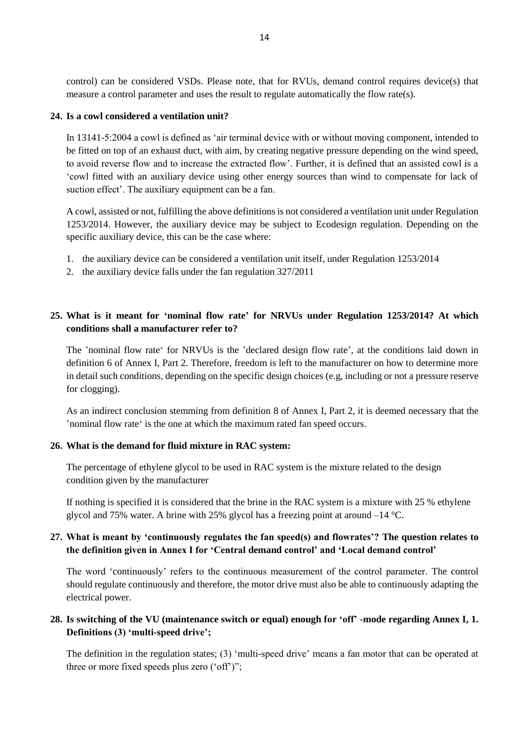control) can be considered VSDs. Please note, that for RVUs, demand control requires device(s) that measure a control parameter and uses the result to regulate automatically the flow rate(s).

#### **24. Is a cowl considered a ventilation unit?**

In 13141-5:2004 a cowl is defined as 'air terminal device with or without moving component, intended to be fitted on top of an exhaust duct, with aim, by creating negative pressure depending on the wind speed, to avoid reverse flow and to increase the extracted flow'. Further, it is defined that an assisted cowl is a 'cowl fitted with an auxiliary device using other energy sources than wind to compensate for lack of suction effect'. The auxiliary equipment can be a fan.

A cowl, assisted or not, fulfilling the above definitions is not considered a ventilation unit under Regulation 1253/2014. However, the auxiliary device may be subject to Ecodesign regulation. Depending on the specific auxiliary device, this can be the case where:

- 1. the auxiliary device can be considered a ventilation unit itself, under Regulation 1253/2014
- 2. the auxiliary device falls under the fan regulation 327/2011

# **25. What is it meant for 'nominal flow rate' for NRVUs under Regulation 1253/2014? At which conditions shall a manufacturer refer to?**

The 'nominal flow rate' for NRVUs is the 'declared design flow rate', at the conditions laid down in definition 6 of Annex I, Part 2. Therefore, freedom is left to the manufacturer on how to determine more in detail such conditions, depending on the specific design choices (e.g, including or not a pressure reserve for clogging).

As an indirect conclusion stemming from definition 8 of Annex I, Part 2, it is deemed necessary that the 'nominal flow rate' is the one at which the maximum rated fan speed occurs.

### **26. What is the demand for fluid mixture in RAC system:**

The percentage of ethylene glycol to be used in RAC system is the mixture related to the design condition given by the manufacturer

If nothing is specified it is considered that the brine in the RAC system is a mixture with 25 % ethylene glycol and 75% water. A brine with 25% glycol has a freezing point at around –14 °C.

# **27. What is meant by 'continuously regulates the fan speed(s) and flowrates'? The question relates to the definition given in Annex I for 'Central demand control' and 'Local demand control'**

The word 'continuously' refers to the continuous measurement of the control parameter. The control should regulate continuously and therefore, the motor drive must also be able to continuously adapting the electrical power.

# **28. Is switching of the VU (maintenance switch or equal) enough for 'off' -mode regarding Annex I, 1. Definitions (3) 'multi-speed drive';**

The definition in the regulation states; (3) 'multi-speed drive' means a fan motor that can be operated at three or more fixed speeds plus zero ('off')";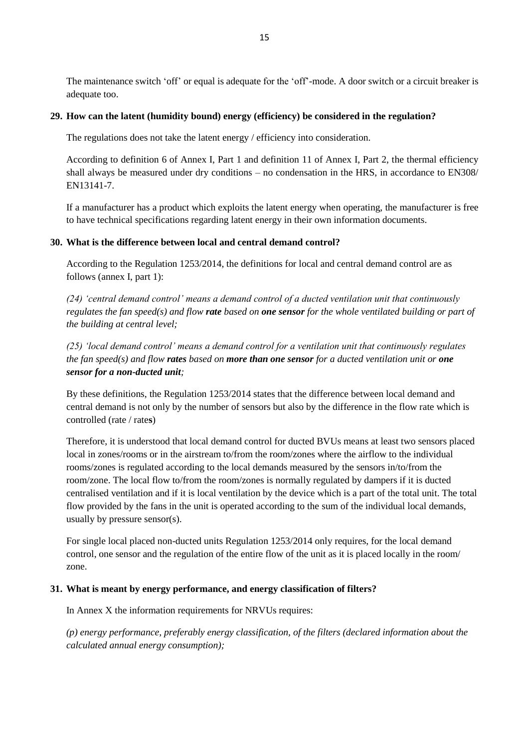The maintenance switch 'off' or equal is adequate for the 'off'-mode. A door switch or a circuit breaker is adequate too.

## **29. How can the latent (humidity bound) energy (efficiency) be considered in the regulation?**

The regulations does not take the latent energy / efficiency into consideration.

According to definition 6 of Annex I, Part 1 and definition 11 of Annex I, Part 2, the thermal efficiency shall always be measured under dry conditions – no condensation in the HRS, in accordance to EN308/ EN13141-7.

If a manufacturer has a product which exploits the latent energy when operating, the manufacturer is free to have technical specifications regarding latent energy in their own information documents.

## **30. What is the difference between local and central demand control?**

According to the Regulation 1253/2014, the definitions for local and central demand control are as follows (annex I, part 1):

*(24) 'central demand control' means a demand control of a ducted ventilation unit that continuously regulates the fan speed(s) and flow rate based on one sensor for the whole ventilated building or part of the building at central level;* 

*(25) 'local demand control' means a demand control for a ventilation unit that continuously regulates the fan speed(s) and flow rates based on more than one sensor for a ducted ventilation unit or one sensor for a non-ducted unit;*

By these definitions, the Regulation 1253/2014 states that the difference between local demand and central demand is not only by the number of sensors but also by the difference in the flow rate which is controlled (rate / rate**s**)

Therefore, it is understood that local demand control for ducted BVUs means at least two sensors placed local in zones/rooms or in the airstream to/from the room/zones where the airflow to the individual rooms/zones is regulated according to the local demands measured by the sensors in/to/from the room/zone. The local flow to/from the room/zones is normally regulated by dampers if it is ducted centralised ventilation and if it is local ventilation by the device which is a part of the total unit. The total flow provided by the fans in the unit is operated according to the sum of the individual local demands, usually by pressure sensor(s).

For single local placed non-ducted units Regulation 1253/2014 only requires, for the local demand control, one sensor and the regulation of the entire flow of the unit as it is placed locally in the room/ zone.

### **31. What is meant by energy performance, and energy classification of filters?**

In Annex X the information requirements for NRVUs requires:

*(p) energy performance, preferably energy classification, of the filters (declared information about the calculated annual energy consumption);*